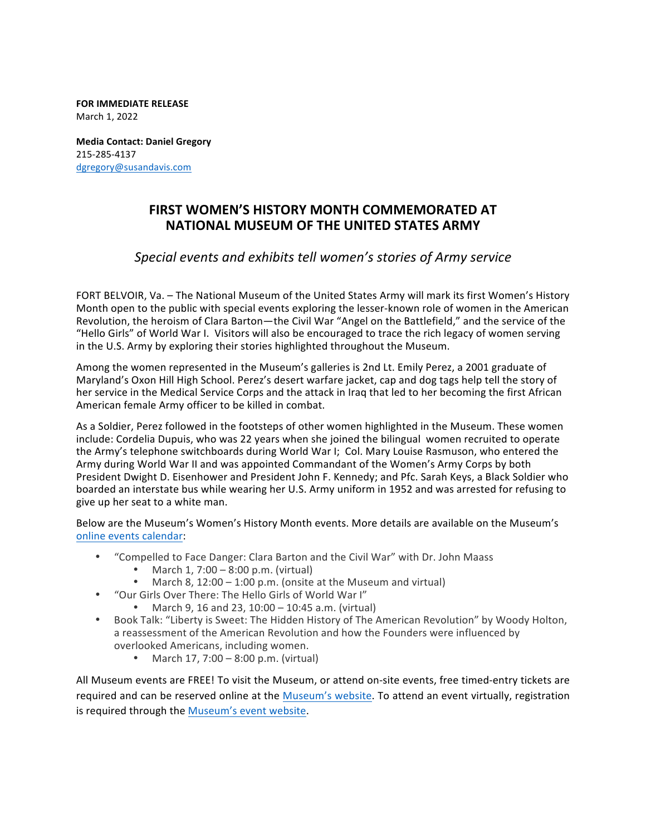**FOR IMMEDIATE RELEASE** March 1, 2022

**Media Contact: Daniel Gregory** 215-285-4137 dgregory@susandavis.com

## **FIRST WOMEN'S HISTORY MONTH COMMEMORATED AT NATIONAL MUSEUM OF THE UNITED STATES ARMY**

## Special events and exhibits tell women's stories of Army service

FORT BELVOIR, Va. - The National Museum of the United States Army will mark its first Women's History Month open to the public with special events exploring the lesser-known role of women in the American Revolution, the heroism of Clara Barton-the Civil War "Angel on the Battlefield," and the service of the "Hello Girls" of World War I. Visitors will also be encouraged to trace the rich legacy of women serving in the U.S. Army by exploring their stories highlighted throughout the Museum.

Among the women represented in the Museum's galleries is 2nd Lt. Emily Perez, a 2001 graduate of Maryland's Oxon Hill High School. Perez's desert warfare jacket, cap and dog tags help tell the story of her service in the Medical Service Corps and the attack in Iraq that led to her becoming the first African American female Army officer to be killed in combat.

As a Soldier, Perez followed in the footsteps of other women highlighted in the Museum. These women include: Cordelia Dupuis, who was 22 years when she joined the bilingual women recruited to operate the Army's telephone switchboards during World War I; Col. Mary Louise Rasmuson, who entered the Army during World War II and was appointed Commandant of the Women's Army Corps by both President Dwight D. Eisenhower and President John F. Kennedy; and Pfc. Sarah Keys, a Black Soldier who boarded an interstate bus while wearing her U.S. Army uniform in 1952 and was arrested for refusing to give up her seat to a white man.

Below are the Museum's Women's History Month events. More details are available on the Museum's online events calendar:

- "Compelled to Face Danger: Clara Barton and the Civil War" with Dr. John Maass
	- March  $1, 7:00 8:00$  p.m. (virtual)
	- March 8, 12:00 1:00 p.m. (onsite at the Museum and virtual)
- "Our Girls Over There: The Hello Girls of World War I"
	- March 9, 16 and 23, 10:00  $-$  10:45 a.m. (virtual)
- Book Talk: "Liberty is Sweet: The Hidden History of The American Revolution" by Woody Holton, a reassessment of the American Revolution and how the Founders were influenced by overlooked Americans, including women.
	- March  $17, 7:00 8:00$  p.m. (virtual)

All Museum events are FREE! To visit the Museum, or attend on-site events, free timed-entry tickets are required and can be reserved online at the Museum's website. To attend an event virtually, registration is required through the Museum's event website.